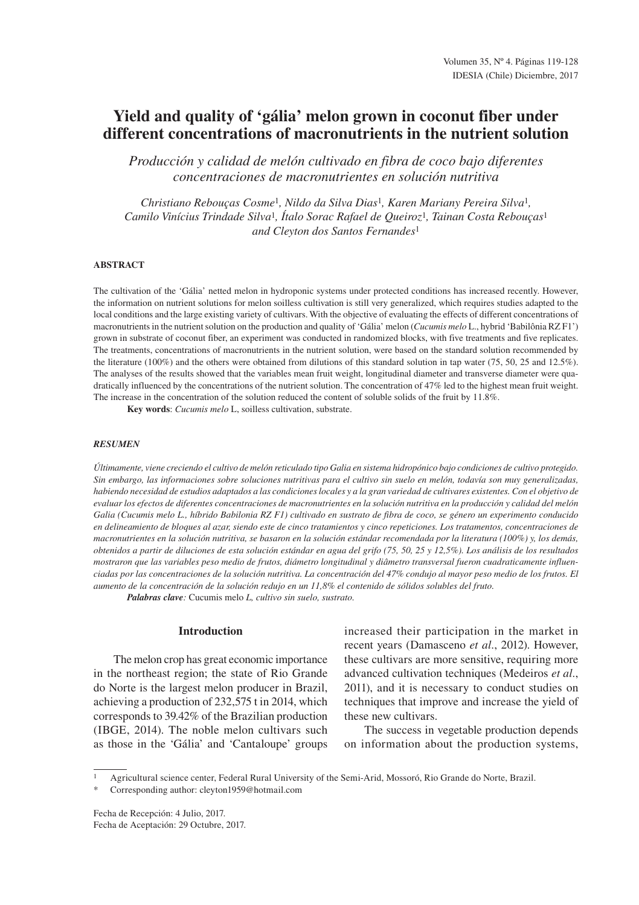# **Yield and quality of 'gália' melon grown in coconut fiber under different concentrations of macronutrients in the nutrient solution**

*Producción y calidad de melón cultivado en fibra de coco bajo diferentes concentraciones de macronutrientes en solución nutritiva*

*Christiano Rebouças Cosme*<sup>1</sup>*, Nildo da Silva Dias*<sup>1</sup>*, Karen Mariany Pereira Silva*<sup>1</sup>*, Camilo Vinícius Trindade Silva*<sup>1</sup>*, Ítalo Sorac Rafael de Queiroz*<sup>1</sup>*, Tainan Costa Rebouças*<sup>1</sup> *and Cleyton dos Santos Fernandes*<sup>1</sup>

## **ABSTRACT**

The cultivation of the 'Gália' netted melon in hydroponic systems under protected conditions has increased recently. However, the information on nutrient solutions for melon soilless cultivation is still very generalized, which requires studies adapted to the local conditions and the large existing variety of cultivars. With the objective of evaluating the effects of different concentrations of macronutrients in the nutrient solution on the production and quality of 'Gália' melon (*Cucumis melo* L., hybrid 'Babilônia RZ F1') grown in substrate of coconut fiber, an experiment was conducted in randomized blocks, with five treatments and five replicates. The treatments, concentrations of macronutrients in the nutrient solution, were based on the standard solution recommended by the literature (100%) and the others were obtained from dilutions of this standard solution in tap water (75, 50, 25 and 12.5%). The analyses of the results showed that the variables mean fruit weight, longitudinal diameter and transverse diameter were quadratically influenced by the concentrations of the nutrient solution. The concentration of 47% led to the highest mean fruit weight. The increase in the concentration of the solution reduced the content of soluble solids of the fruit by 11.8%.

**Key words**: *Cucumis melo* L, soilless cultivation, substrate.

## *RESUMEN*

*Últimamente, viene creciendo el cultivo de melón reticulado tipo Galia en sistema hidropónico bajo condiciones de cultivo protegido. Sin embargo, las informaciones sobre soluciones nutritivas para el cultivo sin suelo en melón, todavía son muy generalizadas, habiendo necesidad de estudios adaptados a las condiciones locales y a la gran variedad de cultivares existentes. Con el objetivo de evaluar los efectos de diferentes concentraciones de macronutrientes en la solución nutritiva en la producción y calidad del melón Galia (Cucumis melo L., híbrido Babilonia RZ F1) cultivado en sustrato de fibra de coco, se género un experimento conducido en delineamiento de bloques al azar, siendo este de cinco tratamientos y cinco repeticiones. Los tratamentos, concentraciones de macronutrientes en la solución nutritiva, se basaron en la solución estándar recomendada por la literatura (100%) y, los demás, obtenidos a partir de diluciones de esta solución estándar en agua del grifo (75, 50, 25 y 12,5%). Los análisis de los resultados mostraron que las variables peso medio de frutos, diámetro longitudinal y diâmetro transversal fueron cuadraticamente influenciadas por las concentraciones de la solución nutritiva. La concentración del 47% condujo al mayor peso medio de los frutos. El aumento de la concentración de la solución redujo en un 11,8% el contenido de sólidos solubles del fruto.*

*Palabras clave:* Cucumis melo *L, cultivo sin suelo, sustrato.*

# **Introduction**

The melon crop has great economic importance in the northeast region; the state of Rio Grande do Norte is the largest melon producer in Brazil, achieving a production of 232,575 t in 2014, which corresponds to 39.42% of the Brazilian production (IBGE, 2014). The noble melon cultivars such as those in the 'Gália' and 'Cantaloupe' groups increased their participation in the market in recent years (Damasceno *et al.*, 2012). However, these cultivars are more sensitive, requiring more advanced cultivation techniques (Medeiros *et al.*, 2011), and it is necessary to conduct studies on techniques that improve and increase the yield of these new cultivars.

The success in vegetable production depends on information about the production systems,

<sup>1</sup> Agricultural science center, Federal Rural University of the Semi-Arid, Mossoró, Rio Grande do Norte, Brazil.

Fecha de Recepción: 4 Julio, 2017. Fecha de Aceptación: 29 Octubre, 2017.

Corresponding author: cleyton1959@hotmail.com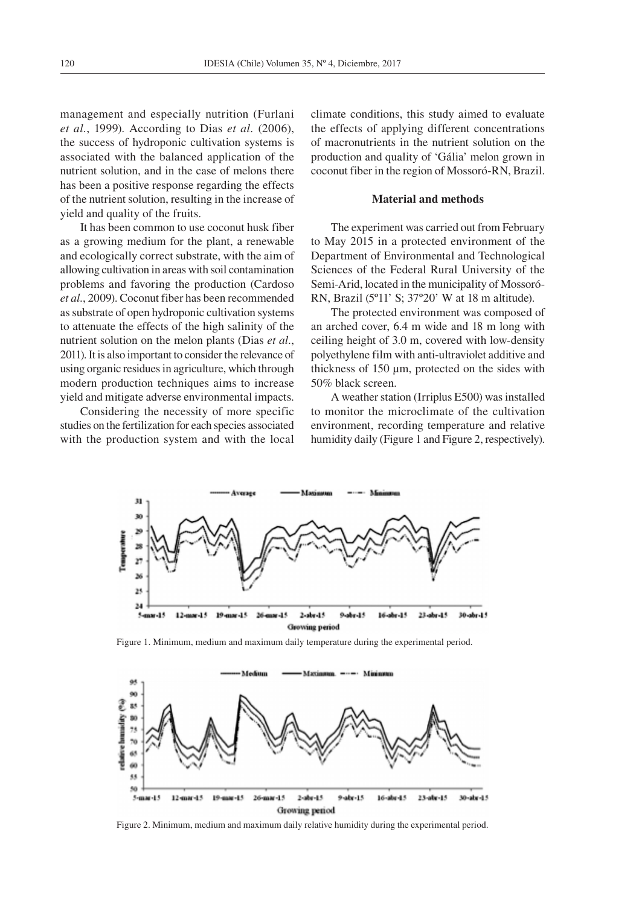management and especially nutrition (Furlani *et al.*, 1999). According to Dias *et al.* (2006), the success of hydroponic cultivation systems is associated with the balanced application of the nutrient solution, and in the case of melons there has been a positive response regarding the effects of the nutrient solution, resulting in the increase of yield and quality of the fruits.

It has been common to use coconut husk fiber as a growing medium for the plant, a renewable and ecologically correct substrate, with the aim of allowing cultivation in areas with soil contamination problems and favoring the production (Cardoso *et al.*, 2009). Coconut fiber has been recommended as substrate of open hydroponic cultivation systems to attenuate the effects of the high salinity of the nutrient solution on the melon plants (Dias *et al.*, 2011). It is also important to consider the relevance of using organic residues in agriculture, which through modern production techniques aims to increase yield and mitigate adverse environmental impacts.

Considering the necessity of more specific studies on the fertilization for each species associated with the production system and with the local climate conditions, this study aimed to evaluate the effects of applying different concentrations of macronutrients in the nutrient solution on the production and quality of 'Gália' melon grown in coconut fiber in the region of Mossoró-RN, Brazil.

## **Material and methods**

The experiment was carried out from February to May 2015 in a protected environment of the Department of Environmental and Technological Sciences of the Federal Rural University of the Semi-Arid, located in the municipality of Mossoró-RN, Brazil (5º11' S; 37º20' W at 18 m altitude).

The protected environment was composed of an arched cover, 6.4 m wide and 18 m long with ceiling height of 3.0 m, covered with low-density polyethylene film with anti-ultraviolet additive and thickness of 150 µm, protected on the sides with 50% black screen.

A weather station (Irriplus E500) was installed to monitor the microclimate of the cultivation environment, recording temperature and relative humidity daily (Figure 1 and Figure 2, respectively).



Figure 1. Minimum, medium and maximum daily temperature during the experimental period.



Figure 2. Minimum, medium and maximum daily relative humidity during the experimental period.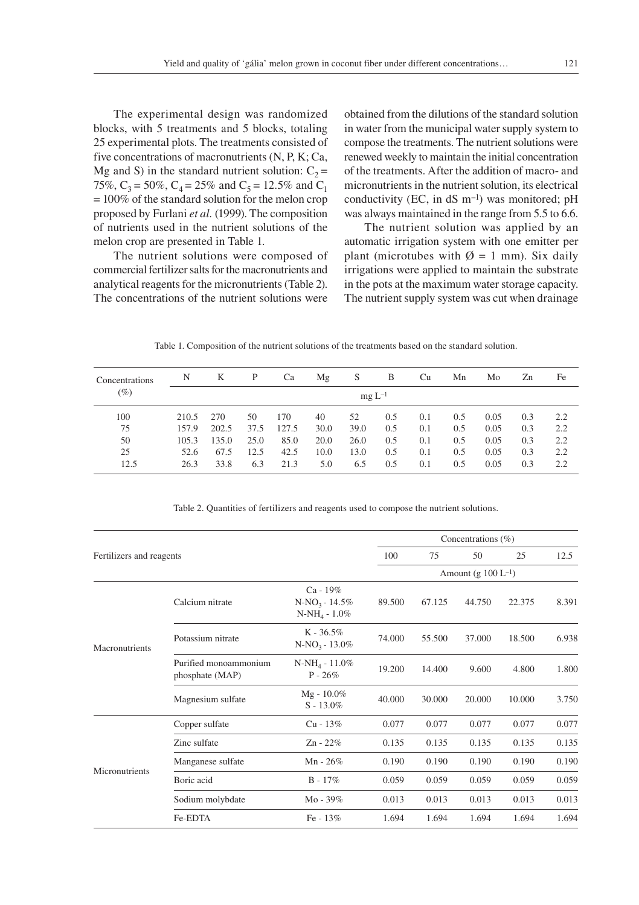The experimental design was randomized blocks, with 5 treatments and 5 blocks, totaling 25 experimental plots. The treatments consisted of five concentrations of macronutrients (N, P, K; Ca, Mg and S) in the standard nutrient solution:  $C_2$  = 75%,  $C_3 = 50\%$ ,  $C_4 = 25\%$  and  $C_5 = 12.5\%$  and  $C_1$ = 100% of the standard solution for the melon crop proposed by Furlani *et al.* (1999). The composition of nutrients used in the nutrient solutions of the

The nutrient solutions were composed of commercial fertilizer salts for the macronutrients and analytical reagents for the micronutrients (Table 2). The concentrations of the nutrient solutions were

melon crop are presented in Table 1.

obtained from the dilutions of the standard solution in water from the municipal water supply system to compose the treatments. The nutrient solutions were renewed weekly to maintain the initial concentration of the treatments. After the addition of macro- and micronutrients in the nutrient solution, its electrical conductivity (EC, in  $dS$  m<sup>-1</sup>) was monitored; pH was always maintained in the range from 5.5 to 6.6.

The nutrient solution was applied by an automatic irrigation system with one emitter per plant (microtubes with  $\varnothing = 1$  mm). Six daily irrigations were applied to maintain the substrate in the pots at the maximum water storage capacity. The nutrient supply system was cut when drainage

Table 1. Composition of the nutrient solutions of the treatments based on the standard solution.

| Concentrations | N     | K     | P    | Ca    | Μg   | S          | B   | Cu  | Mn  | Mo   | Zn  | Fe  |
|----------------|-------|-------|------|-------|------|------------|-----|-----|-----|------|-----|-----|
| $(\%)$         |       |       |      |       |      | $mgL^{-1}$ |     |     |     |      |     |     |
| 100            | 210.5 | 270   | 50   | 170   | 40   | 52         | 0.5 | 0.1 | 0.5 | 0.05 | 0.3 | 2.2 |
| 75             | 157.9 | 202.5 | 37.5 | 127.5 | 30.0 | 39.0       | 0.5 | 0.1 | 0.5 | 0.05 | 0.3 | 2.2 |
| 50             | 105.3 | 135.0 | 25.0 | 85.0  | 20.0 | 26.0       | 0.5 | 0.1 | 0.5 | 0.05 | 0.3 | 2.2 |
| 25             | 52.6  | 67.5  | 12.5 | 42.5  | 10.0 | 13.0       | 0.5 | 0.1 | 0.5 | 0.05 | 0.3 | 2.2 |
| 12.5           | 26.3  | 33.8  | 6.3  | 21.3  | 5.0  | 6.5        | 0.5 | 0.1 | 0.5 | 0.05 | 0.3 | 2.2 |

Table 2. Quantities of fertilizers and reagents used to compose the nutrient solutions.

|                          |                                          | Concentrations $(\% )$                              |        |        |                          |        |       |  |
|--------------------------|------------------------------------------|-----------------------------------------------------|--------|--------|--------------------------|--------|-------|--|
| Fertilizers and reagents |                                          |                                                     | 100    | 75     | 50                       | 25     | 12.5  |  |
|                          |                                          |                                                     |        |        | Amount (g $100 L^{-1}$ ) |        |       |  |
|                          | Calcium nitrate                          | $Ca - 19%$<br>$N-NO_3 - 14.5\%$<br>$N-NH_4 - 1.0\%$ | 89.500 | 67.125 | 44.750                   | 22.375 | 8.391 |  |
| Macronutrients           | Potassium nitrate                        | $K - 36.5\%$<br>$N-NO_3 - 13.0\%$                   | 74.000 | 55.500 | 37.000                   | 18.500 | 6.938 |  |
|                          | Purified monoammonium<br>phosphate (MAP) | $N-NH_4 - 11.0\%$<br>$P - 26%$                      | 19.200 | 14.400 | 9.600                    | 4.800  | 1.800 |  |
|                          | Magnesium sulfate                        | $Mg - 10.0\%$<br>$S - 13.0\%$                       | 40.000 | 30.000 | 20.000                   | 10.000 | 3.750 |  |
|                          | Copper sulfate                           | $Cu - 13\%$                                         | 0.077  | 0.077  | 0.077                    | 0.077  | 0.077 |  |
| Micronutrients           | Zinc sulfate                             | $Zn - 22%$                                          | 0.135  | 0.135  | 0.135                    | 0.135  | 0.135 |  |
|                          | Manganese sulfate                        | $Mn - 26%$                                          | 0.190  | 0.190  | 0.190                    | 0.190  | 0.190 |  |
|                          | Boric acid                               | $B - 17\%$                                          | 0.059  | 0.059  | 0.059                    | 0.059  | 0.059 |  |
|                          | Sodium molybdate                         | Mo - $39\%$                                         | 0.013  | 0.013  | 0.013                    | 0.013  | 0.013 |  |
|                          | Fe-EDTA                                  | Fe - 13%                                            | 1.694  | 1.694  | 1.694                    | 1.694  | 1.694 |  |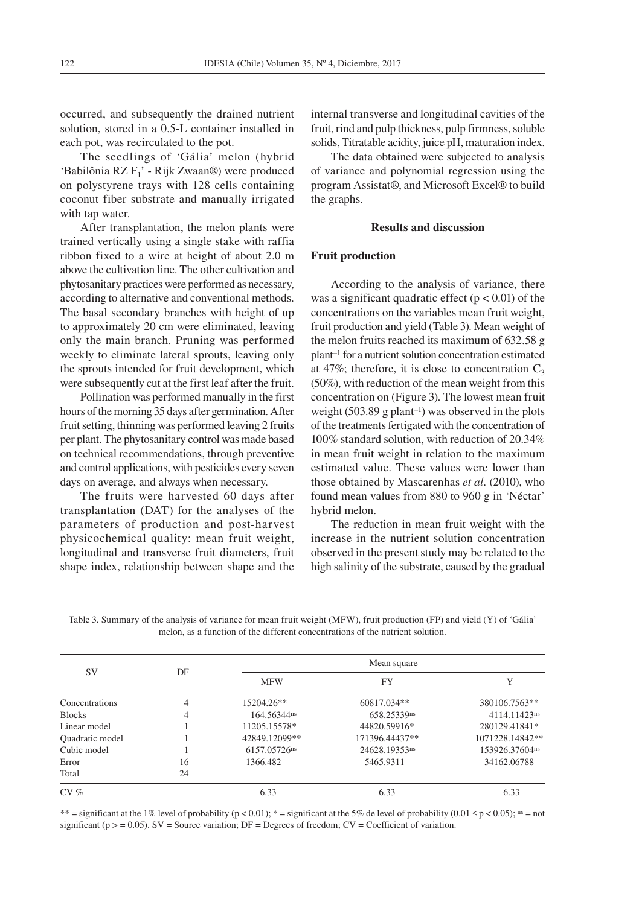occurred, and subsequently the drained nutrient solution, stored in a 0.5-L container installed in each pot, was recirculated to the pot.

The seedlings of 'Gália' melon (hybrid 'Babilônia RZ F1' - Rijk Zwaan®) were produced on polystyrene trays with 128 cells containing coconut fiber substrate and manually irrigated with tap water.

After transplantation, the melon plants were trained vertically using a single stake with raffia ribbon fixed to a wire at height of about 2.0 m above the cultivation line. The other cultivation and phytosanitary practices were performed as necessary, according to alternative and conventional methods. The basal secondary branches with height of up to approximately 20 cm were eliminated, leaving only the main branch. Pruning was performed weekly to eliminate lateral sprouts, leaving only the sprouts intended for fruit development, which were subsequently cut at the first leaf after the fruit.

Pollination was performed manually in the first hours of the morning 35 days after germination. After fruit setting, thinning was performed leaving 2 fruits per plant. The phytosanitary control was made based on technical recommendations, through preventive and control applications, with pesticides every seven days on average, and always when necessary.

The fruits were harvested 60 days after transplantation (DAT) for the analyses of the parameters of production and post-harvest physicochemical quality: mean fruit weight, longitudinal and transverse fruit diameters, fruit shape index, relationship between shape and the

internal transverse and longitudinal cavities of the fruit, rind and pulp thickness, pulp firmness, soluble solids, Titratable acidity, juice pH, maturation index.

The data obtained were subjected to analysis of variance and polynomial regression using the program Assistat®, and Microsoft Excel® to build the graphs.

# **Results and discussion**

### **Fruit production**

According to the analysis of variance, there was a significant quadratic effect  $(p < 0.01)$  of the concentrations on the variables mean fruit weight, fruit production and yield (Table 3). Mean weight of the melon fruits reached its maximum of 632.58 g plant–1 for a nutrient solution concentration estimated at 47%; therefore, it is close to concentration  $C_3$ (50%), with reduction of the mean weight from this concentration on (Figure 3). The lowest mean fruit weight  $(503.89 \text{ g plant}^{-1})$  was observed in the plots of the treatments fertigated with the concentration of 100% standard solution, with reduction of 20.34% in mean fruit weight in relation to the maximum estimated value. These values were lower than those obtained by Mascarenhas *et al.* (2010), who found mean values from 880 to 960 g in 'Néctar' hybrid melon.

The reduction in mean fruit weight with the increase in the nutrient solution concentration observed in the present study may be related to the high salinity of the substrate, caused by the gradual

Table 3. Summary of the analysis of variance for mean fruit weight (MFW), fruit production (FP) and yield (Y) of 'Gália' melon, as a function of the different concentrations of the nutrient solution.

|                 |    | Mean square             |                |                 |  |  |  |  |
|-----------------|----|-------------------------|----------------|-----------------|--|--|--|--|
| SV              | DF | <b>MFW</b>              | <b>FY</b>      | Y               |  |  |  |  |
| Concentrations  | 4  | 15204.26**              | 60817.034**    | 380106.7563**   |  |  |  |  |
| <b>Blocks</b>   | 4  | 164.56344 <sup>ns</sup> | 658.25339ns    | 4114.11423ns    |  |  |  |  |
| Linear model    |    | 11205.15578*            | 44820.59916*   | 280129.41841*   |  |  |  |  |
| Quadratic model |    | 42849.12099**           | 171396.44437** | 1071228.14842** |  |  |  |  |
| Cubic model     |    | 6157.05726ns            | 24628.19353ns  | 153926.37604ns  |  |  |  |  |
| Error           | 16 | 1366.482                | 5465.9311      | 34162.06788     |  |  |  |  |
| Total           | 24 |                         |                |                 |  |  |  |  |
| $CV \%$         |    | 6.33                    | 6.33           | 6.33            |  |  |  |  |

\*\* = significant at the 1% level of probability (p < 0.01); \* = significant at the 5% de level of probability (0.01  $\le$  p < 0.05); ns = not significant ( $p > = 0.05$ ). SV = Source variation; DF = Degrees of freedom; CV = Coefficient of variation.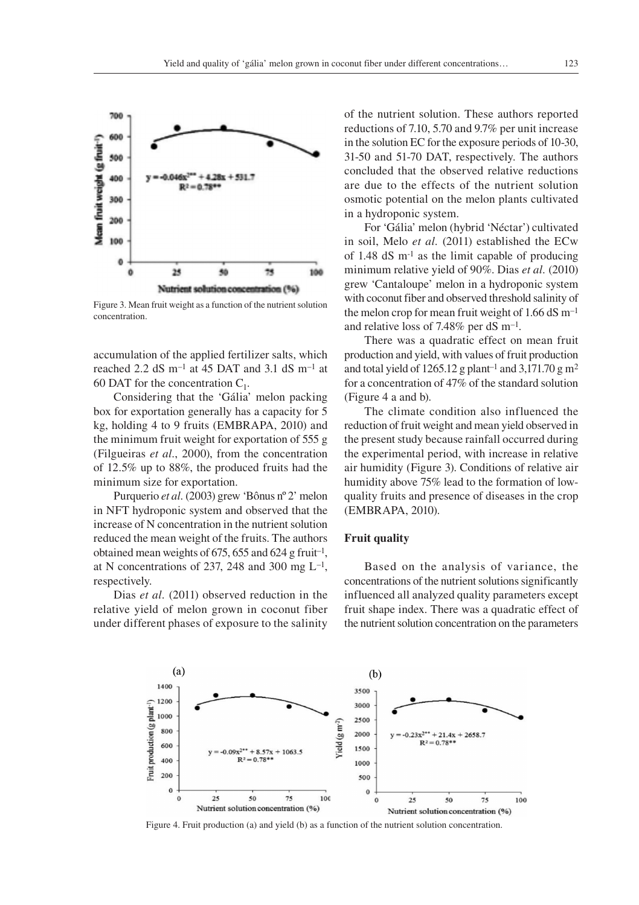

Figure 3. Mean fruit weight as a function of the nutrient solution concentration.

accumulation of the applied fertilizer salts, which reached 2.2 dS m<sup>-1</sup> at 45 DAT and 3.1 dS m<sup>-1</sup> at 60 DAT for the concentration  $C_1$ .

Considering that the 'Gália' melon packing box for exportation generally has a capacity for 5 kg, holding 4 to 9 fruits (EMBRAPA, 2010) and the minimum fruit weight for exportation of 555 g (Filgueiras *et al.*, 2000), from the concentration of 12.5% up to 88%, the produced fruits had the minimum size for exportation.

Purquerio *et al.* (2003) grew 'Bônus nº 2' melon in NFT hydroponic system and observed that the increase of N concentration in the nutrient solution reduced the mean weight of the fruits. The authors obtained mean weights of 675, 655 and 624 g fruit<sup>-1</sup>, at N concentrations of 237, 248 and 300 mg  $L^{-1}$ , respectively.

Dias *et al.* (2011) observed reduction in the relative yield of melon grown in coconut fiber under different phases of exposure to the salinity of the nutrient solution. These authors reported reductions of 7.10, 5.70 and 9.7% per unit increase in the solution EC for the exposure periods of 10-30, 31-50 and 51-70 DAT, respectively. The authors concluded that the observed relative reductions are due to the effects of the nutrient solution osmotic potential on the melon plants cultivated in a hydroponic system.

For 'Gália' melon (hybrid 'Néctar') cultivated in soil, Melo *et al.* (2011) established the ECw of 1.48  $dS$  m<sup>-1</sup> as the limit capable of producing minimum relative yield of 90%. Dias *et al.* (2010) grew 'Cantaloupe' melon in a hydroponic system with coconut fiber and observed threshold salinity of the melon crop for mean fruit weight of  $1.66$  dS m<sup>-1</sup> and relative loss of 7.48% per  $dS$  m<sup>-1</sup>.

There was a quadratic effect on mean fruit production and yield, with values of fruit production and total yield of 1265.12 g plant<sup>-1</sup> and 3,171.70 g m<sup>2</sup> for a concentration of 47% of the standard solution (Figure 4 a and b).

The climate condition also influenced the reduction of fruit weight and mean yield observed in the present study because rainfall occurred during the experimental period, with increase in relative air humidity (Figure 3). Conditions of relative air humidity above 75% lead to the formation of lowquality fruits and presence of diseases in the crop (EMBRAPA, 2010).

## **Fruit quality**

Based on the analysis of variance, the concentrations of the nutrient solutions significantly influenced all analyzed quality parameters except fruit shape index. There was a quadratic effect of the nutrient solution concentration on the parameters



Figure 4. Fruit production (a) and yield (b) as a function of the nutrient solution concentration.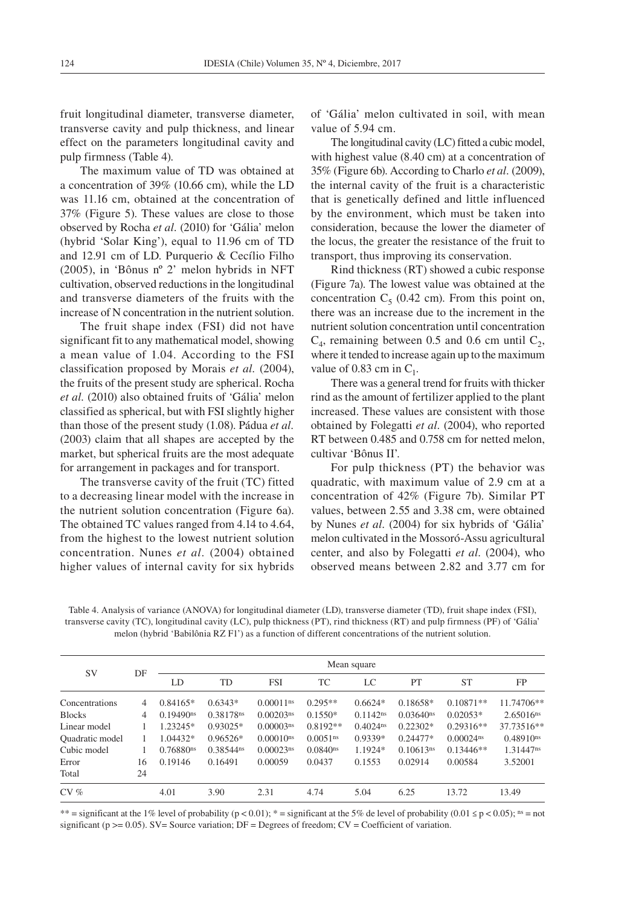fruit longitudinal diameter, transverse diameter, transverse cavity and pulp thickness, and linear effect on the parameters longitudinal cavity and pulp firmness (Table 4).

The maximum value of TD was obtained at a concentration of 39% (10.66 cm), while the LD was 11.16 cm, obtained at the concentration of 37% (Figure 5). These values are close to those observed by Rocha *et al.* (2010) for 'Gália' melon (hybrid 'Solar King'), equal to 11.96 cm of TD and 12.91 cm of LD. Purquerio & Cecílio Filho (2005), in 'Bônus nº 2' melon hybrids in NFT cultivation, observed reductions in the longitudinal and transverse diameters of the fruits with the increase of N concentration in the nutrient solution.

The fruit shape index (FSI) did not have significant fit to any mathematical model, showing a mean value of 1.04. According to the FSI classification proposed by Morais *et al.* (2004), the fruits of the present study are spherical. Rocha *et al.* (2010) also obtained fruits of 'Gália' melon classified as spherical, but with FSI slightly higher than those of the present study (1.08). Pádua *et al.* (2003) claim that all shapes are accepted by the market, but spherical fruits are the most adequate for arrangement in packages and for transport.

The transverse cavity of the fruit (TC) fitted to a decreasing linear model with the increase in the nutrient solution concentration (Figure 6a). The obtained TC values ranged from 4.14 to 4.64, from the highest to the lowest nutrient solution concentration. Nunes *et al.* (2004) obtained higher values of internal cavity for six hybrids

of 'Gália' melon cultivated in soil, with mean value of 5.94 cm.

The longitudinal cavity (LC) fitted a cubic model, with highest value (8.40 cm) at a concentration of 35% (Figure 6b). According to Charlo *et al.* (2009), the internal cavity of the fruit is a characteristic that is genetically defined and little influenced by the environment, which must be taken into consideration, because the lower the diameter of the locus, the greater the resistance of the fruit to transport, thus improving its conservation.

Rind thickness (RT) showed a cubic response (Figure 7a). The lowest value was obtained at the concentration  $C_5$  (0.42 cm). From this point on, there was an increase due to the increment in the nutrient solution concentration until concentration  $C_4$ , remaining between 0.5 and 0.6 cm until  $C_2$ , where it tended to increase again up to the maximum value of 0.83 cm in  $C_1$ .

There was a general trend for fruits with thicker rind as the amount of fertilizer applied to the plant increased. These values are consistent with those obtained by Folegatti *et al.* (2004), who reported RT between 0.485 and 0.758 cm for netted melon, cultivar 'Bônus II'.

For pulp thickness (PT) the behavior was quadratic, with maximum value of 2.9 cm at a concentration of 42% (Figure 7b). Similar PT values, between 2.55 and 3.38 cm, were obtained by Nunes *et al.* (2004) for six hybrids of 'Gália' melon cultivated in the Mossoró-Assu agricultural center, and also by Folegatti *et al.* (2004), who observed means between 2.82 and 3.77 cm for

Table 4. Analysis of variance (ANOVA) for longitudinal diameter (LD), transverse diameter (TD), fruit shape index (FSI), transverse cavity (TC), longitudinal cavity (LC), pulp thickness (PT), rind thickness (RT) and pulp firmness (PF) of 'Gália' melon (hybrid 'Babilônia RZ F1') as a function of different concentrations of the nutrient solution.

| SV                     |    | Mean square             |            |                         |                        |                        |                         |              |                         |  |
|------------------------|----|-------------------------|------------|-------------------------|------------------------|------------------------|-------------------------|--------------|-------------------------|--|
|                        | DF | LD                      | TD         | <b>FSI</b>              | TC                     | LC                     | PT                      | <b>ST</b>    | FP                      |  |
| Concentrations         | 4  | $0.84165*$              | $0.6343*$  | $0.00011$ <sup>ns</sup> | $0.295**$              | $0.6624*$              | $0.18658*$              | $0.10871**$  | 11.74706**              |  |
| <b>Blocks</b>          | 4  | $0.19490$ <sup>ns</sup> | 0.38178ns  | $0.00203$ <sup>ns</sup> | $0.1550*$              | $0.1142$ <sup>ns</sup> | $0.03640$ <sup>ns</sup> | $0.02053*$   | $2.65016$ <sup>ns</sup> |  |
| Linear model           |    | 1.23245*                | $0.93025*$ | $0.00003$ <sup>ns</sup> | $0.8192**$             | $0.4024$ <sup>ns</sup> | $0.22302*$              | $0.29316**$  | 37.73516**              |  |
| <b>Ouadratic</b> model |    | 1.04432*                | $0.96526*$ | $0.00010$ <sup>ns</sup> | $0.0051$ <sup>ns</sup> | $0.9339*$              | $0.24477*$              | $0.00024$ ns | 0.48910ns               |  |
| Cubic model            |    | 0.76880ns               | 0.38544ns  | $0.00023$ <sup>ns</sup> | $0.0840$ <sup>ns</sup> | 1.1924*                | $0.10613$ <sup>ns</sup> | $0.13446**$  | 1.31447ns               |  |
| Error                  | 16 | 0.19146                 | 0.16491    | 0.00059                 | 0.0437                 | 0.1553                 | 0.02914                 | 0.00584      | 3.52001                 |  |
| Total                  | 24 |                         |            |                         |                        |                        |                         |              |                         |  |
| $CV \%$                |    | 4.01                    | 3.90       | 2.31                    | 4.74                   | 5.04                   | 6.25                    | 13.72        | 13.49                   |  |

\*\* = significant at the 1% level of probability (p < 0.01); \* = significant at the 5% de level of probability (0.01 ≤ p < 0.05); ns = not significant ( $p \ge 0.05$ ). SV= Source variation; DF = Degrees of freedom; CV = Coefficient of variation.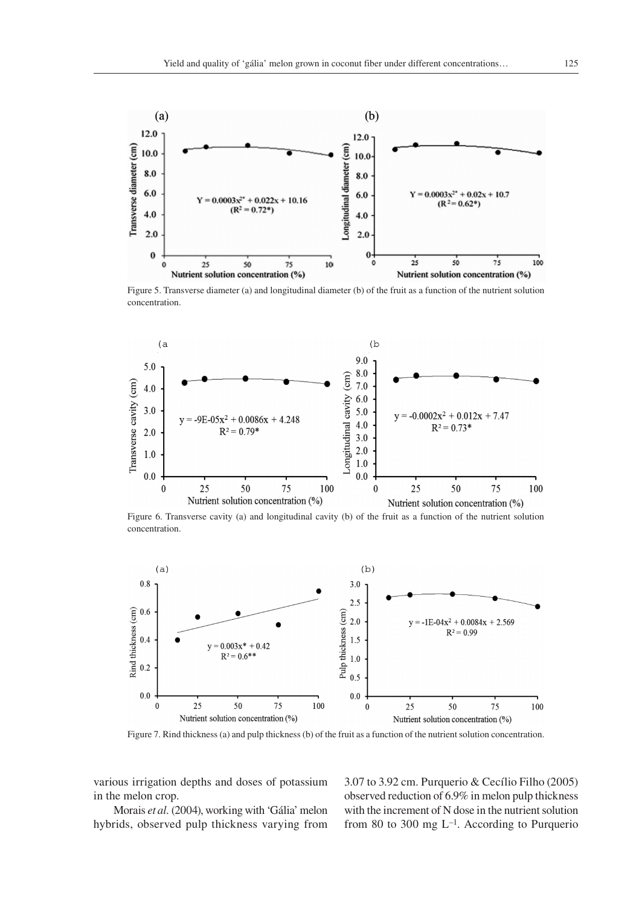

Figure 5. Transverse diameter (a) and longitudinal diameter (b) of the fruit as a function of the nutrient solution concentration.



Figure 6. Transverse cavity (a) and longitudinal cavity (b) of the fruit as a function of the nutrient solution concentration.



Figure 7. Rind thickness (a) and pulp thickness (b) of the fruit as a function of the nutrient solution concentration.

various irrigation depths and doses of potassium in the melon crop.

Morais *et al.* (2004), working with 'Gália' melon hybrids, observed pulp thickness varying from 3.07 to 3.92 cm. Purquerio & Cecílio Filho (2005) observed reduction of 6.9% in melon pulp thickness with the increment of N dose in the nutrient solution from 80 to 300 mg  $L^{-1}$ . According to Purquerio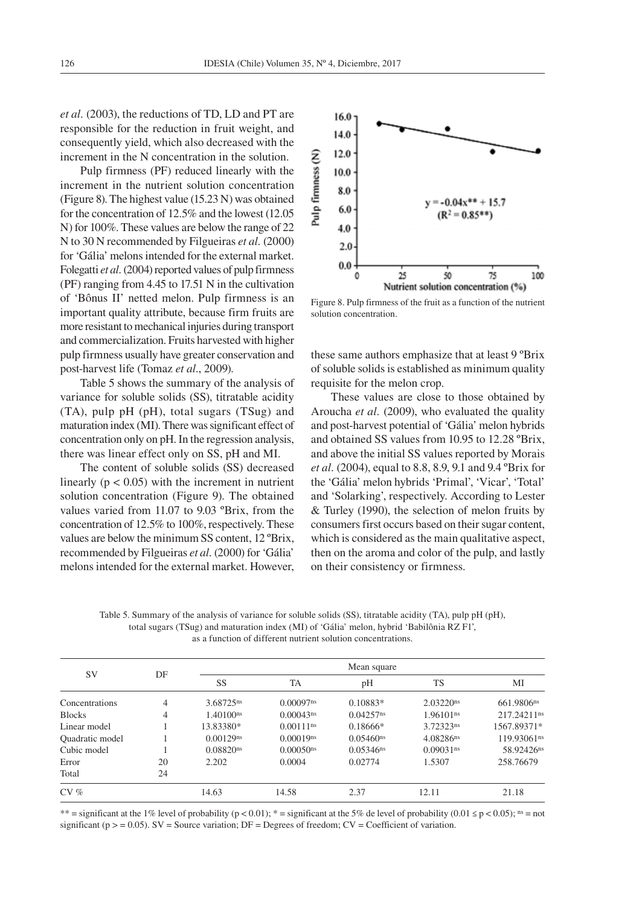*et al.* (2003), the reductions of TD, LD and PT are responsible for the reduction in fruit weight, and consequently yield, which also decreased with the increment in the N concentration in the solution.

Pulp firmness (PF) reduced linearly with the increment in the nutrient solution concentration (Figure 8). The highest value (15.23 N) was obtained for the concentration of 12.5% and the lowest (12.05 N) for 100%. These values are below the range of 22 N to 30 N recommended by Filgueiras *et al.* (2000) for 'Gália' melons intended for the external market. Folegatti *et al.* (2004) reported values of pulp firmness (PF) ranging from 4.45 to 17.51 N in the cultivation of 'Bônus II' netted melon. Pulp firmness is an important quality attribute, because firm fruits are more resistant to mechanical injuries during transport and commercialization. Fruits harvested with higher pulp firmness usually have greater conservation and post-harvest life (Tomaz *et al.*, 2009).

Table 5 shows the summary of the analysis of variance for soluble solids (SS), titratable acidity (TA), pulp pH (pH), total sugars (TSug) and maturation index (MI). There was significant effect of concentration only on pH. In the regression analysis, there was linear effect only on SS, pH and MI.

The content of soluble solids (SS) decreased linearly  $(p < 0.05)$  with the increment in nutrient solution concentration (Figure 9). The obtained values varied from 11.07 to 9.03 ºBrix, from the concentration of 12.5% to 100%, respectively. These values are below the minimum SS content, 12 ºBrix, recommended by Filgueiras *et al.* (2000) for 'Gália' melons intended for the external market. However,



Figure 8. Pulp firmness of the fruit as a function of the nutrient solution concentration.

these same authors emphasize that at least 9 ºBrix of soluble solids is established as minimum quality requisite for the melon crop.

These values are close to those obtained by Aroucha *et al.* (2009), who evaluated the quality and post-harvest potential of 'Gália' melon hybrids and obtained SS values from 10.95 to 12.28 ºBrix, and above the initial SS values reported by Morais *et al.* (2004), equal to 8.8, 8.9, 9.1 and 9.4 ºBrix for the 'Gália' melon hybrids 'Primal', 'Vicar', 'Total' and 'Solarking', respectively. According to Lester & Turley (1990), the selection of melon fruits by consumers first occurs based on their sugar content, which is considered as the main qualitative aspect, then on the aroma and color of the pulp, and lastly on their consistency or firmness.

Table 5. Summary of the analysis of variance for soluble solids (SS), titratable acidity (TA), pulp pH (pH), total sugars (TSug) and maturation index (MI) of 'Gália' melon, hybrid 'Babilônia RZ F1', as a function of different nutrient solution concentrations.

| <b>SV</b>       | DF | Mean square             |                         |                         |                         |                        |  |  |  |
|-----------------|----|-------------------------|-------------------------|-------------------------|-------------------------|------------------------|--|--|--|
|                 |    | SS                      | TA                      | pH                      | <b>TS</b>               | MI                     |  |  |  |
| Concentrations  | 4  | 3.68725ns               | $0.00097$ ns            | $0.10883*$              | $2.03220$ <sup>ns</sup> | 661.9806ns             |  |  |  |
| <b>Blocks</b>   | 4  | $1.40100$ <sup>ns</sup> | $0.00043$ <sup>ns</sup> | $0.04257$ <sup>ns</sup> | 1.96101 <sup>ns</sup>   | 217.24211ns            |  |  |  |
| Linear model    |    | 13.83380*               | $0.00111$ <sup>ns</sup> | $0.18666*$              | 3.72323ns               | 1567.89371*            |  |  |  |
| Quadratic model |    | $0.00129$ <sup>ns</sup> | 0.00019ns               | $0.05460$ <sup>ns</sup> | 4.08286ns               | 119.93061ns            |  |  |  |
| Cubic model     |    | $0.08820$ <sup>ns</sup> | $0.00050$ <sup>ns</sup> | $0.05346$ <sup>ns</sup> | $0.09031$ <sup>ns</sup> | 58.92426 <sup>ns</sup> |  |  |  |
| Error           | 20 | 2.202                   | 0.0004                  | 0.02774                 | 1.5307                  | 258.76679              |  |  |  |
| Total           | 24 |                         |                         |                         |                         |                        |  |  |  |
| $CV \%$         |    | 14.63                   | 14.58                   | 2.37                    | 12.11                   | 21.18                  |  |  |  |

\*\* = significant at the 1% level of probability (p < 0.01); \* = significant at the 5% de level of probability (0.01 ≤ p < 0.05); ns = not significant ( $p > = 0.05$ ). SV = Source variation; DF = Degrees of freedom; CV = Coefficient of variation.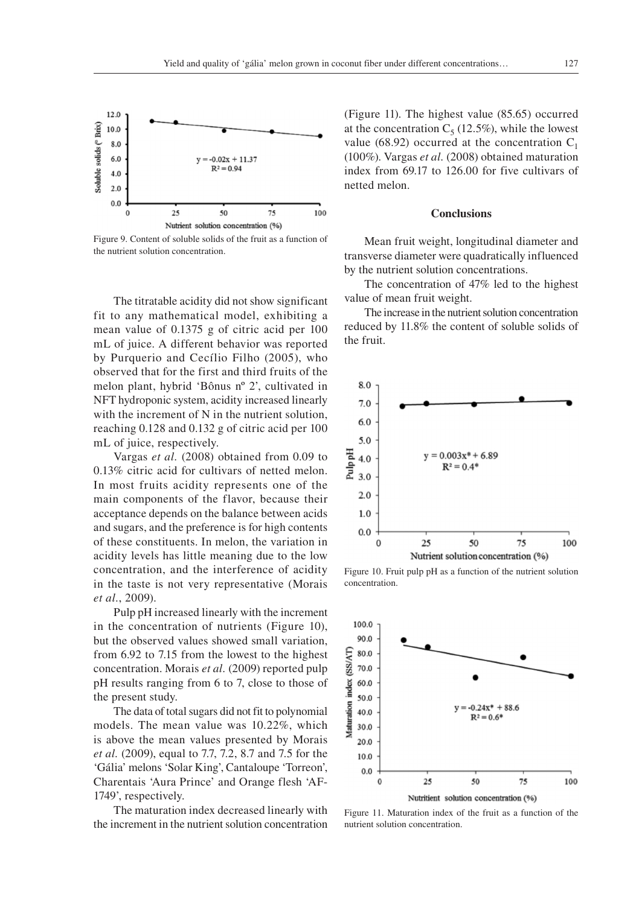

Figure 9. Content of soluble solids of the fruit as a function of the nutrient solution concentration.

The titratable acidity did not show significant fit to any mathematical model, exhibiting a mean value of 0.1375 g of citric acid per 100 mL of juice. A different behavior was reported by Purquerio and Cecílio Filho (2005), who observed that for the first and third fruits of the melon plant, hybrid 'Bônus nº 2', cultivated in NFT hydroponic system, acidity increased linearly with the increment of N in the nutrient solution, reaching 0.128 and 0.132 g of citric acid per 100 mL of juice, respectively.

Vargas *et al.* (2008) obtained from 0.09 to 0.13% citric acid for cultivars of netted melon. In most fruits acidity represents one of the main components of the flavor, because their acceptance depends on the balance between acids and sugars, and the preference is for high contents of these constituents. In melon, the variation in acidity levels has little meaning due to the low concentration, and the interference of acidity in the taste is not very representative (Morais *et al.*, 2009).

Pulp pH increased linearly with the increment in the concentration of nutrients (Figure 10), but the observed values showed small variation, from 6.92 to 7.15 from the lowest to the highest concentration. Morais *et al.* (2009) reported pulp pH results ranging from 6 to 7, close to those of the present study.

The data of total sugars did not fit to polynomial models. The mean value was 10.22%, which is above the mean values presented by Morais *et al.* (2009), equal to 7.7, 7.2, 8.7 and 7.5 for the 'Gália' melons 'Solar King', Cantaloupe 'Torreon', Charentais 'Aura Prince' and Orange flesh 'AF-1749', respectively.

The maturation index decreased linearly with the increment in the nutrient solution concentration

(Figure 11). The highest value (85.65) occurred at the concentration  $C_5$  (12.5%), while the lowest value (68.92) occurred at the concentration  $C_1$ (100%). Vargas *et al.* (2008) obtained maturation index from 69.17 to 126.00 for five cultivars of netted melon.

#### **Conclusions**

Mean fruit weight, longitudinal diameter and transverse diameter were quadratically influenced by the nutrient solution concentrations.

The concentration of 47% led to the highest value of mean fruit weight.

The increase in the nutrient solution concentration reduced by 11.8% the content of soluble solids of the fruit.



Figure 10. Fruit pulp pH as a function of the nutrient solution concentration.



Figure 11. Maturation index of the fruit as a function of the nutrient solution concentration.